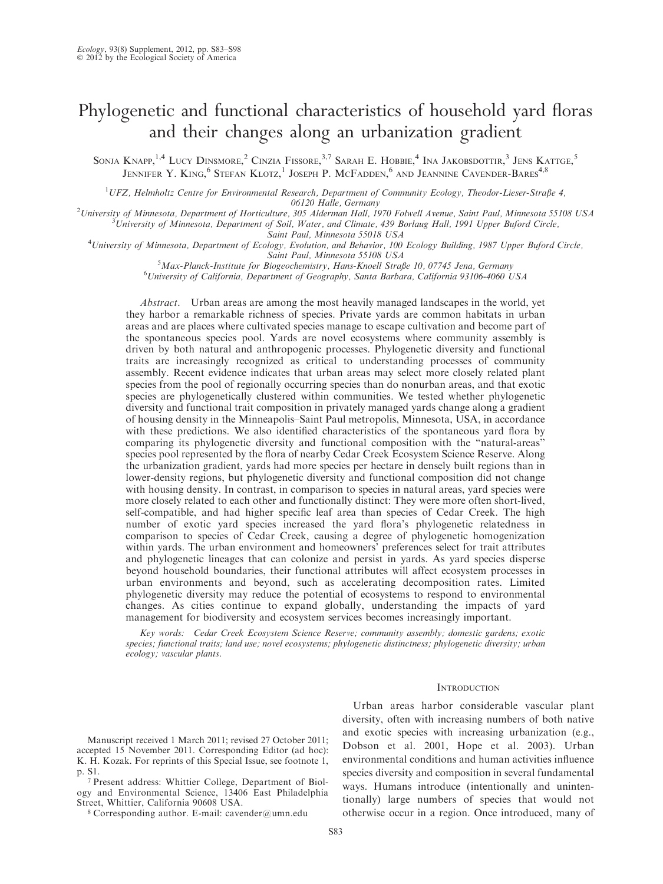# Phylogenetic and functional characteristics of household yard floras and their changes along an urbanization gradient

SONJA KNAPP,<sup>1,4</sup> LUCY DINSMORE,<sup>2</sup> CINZIA FISSORE,<sup>3,7</sup> SARAH E. HOBBIE,<sup>4</sup> INA JAKOBSDOTTIR,<sup>3</sup> JENS KATTGE,<sup>5</sup> JENNIFER Y. KING,  $^6$  Stefan Klotz, $^1$  Joseph P. McFadden,  $^6$  and Jeannine Cavender-Bares $^{4,8}$ 

<sup>1</sup>UFZ, Helmholtz Centre for Environmental Research, Department of Community Ecology, Theodor-Lieser-Straße 4, 06120 Halle, Germany<br>2 University of Minnesota, Department of Horticulture, 305, Alderman Hall, 19

University of Minnesota, Department of Horticulture, 305 Alderman Hall, 1970 Folwell Avenue, Saint Paul, Minnesota 55108 USA<br><sup>3</sup>University of Minnesota, Department of Soil, Water, and Climate, 430 Borlaug, Hall, 1001 Unper University of Minnesota, Department of Soil, Water, and Climate, 439 Borlaug Hall, 1991 Upper Buford Circle,<br>Saint Paul, Minnesota 55018 USA

Saint Paul, Minnesota 55018 USA<br>University of Minnesota, Department of Ecology, Evolution, and Behavior, 100 Ecology Building, 1987 Upper Buford Circle,

Saint Paul, Minnesota 55108 USA<br><sup>5</sup>Max Planek Institute for Pioceochamistry, Hans Knoell Strat

 $^{5}$ Max-Planck-Institute for Biogeochemistry, Hans-Knoell Straße 10, 07745 Jena, Germany<br> $^{6}$ University of Colifornia, Donastment of Geography, Santa Barbara, Colifornia 03106 4060 I University of California, Department of Geography, Santa Barbara, California 93106-4060 USA

Abstract. Urban areas are among the most heavily managed landscapes in the world, yet they harbor a remarkable richness of species. Private yards are common habitats in urban areas and are places where cultivated species manage to escape cultivation and become part of the spontaneous species pool. Yards are novel ecosystems where community assembly is driven by both natural and anthropogenic processes. Phylogenetic diversity and functional traits are increasingly recognized as critical to understanding processes of community assembly. Recent evidence indicates that urban areas may select more closely related plant species from the pool of regionally occurring species than do nonurban areas, and that exotic species are phylogenetically clustered within communities. We tested whether phylogenetic diversity and functional trait composition in privately managed yards change along a gradient of housing density in the Minneapolis–Saint Paul metropolis, Minnesota, USA, in accordance with these predictions. We also identified characteristics of the spontaneous yard flora by comparing its phylogenetic diversity and functional composition with the ''natural-areas'' species pool represented by the flora of nearby Cedar Creek Ecosystem Science Reserve. Along the urbanization gradient, yards had more species per hectare in densely built regions than in lower-density regions, but phylogenetic diversity and functional composition did not change with housing density. In contrast, in comparison to species in natural areas, yard species were more closely related to each other and functionally distinct: They were more often short-lived, self-compatible, and had higher specific leaf area than species of Cedar Creek. The high number of exotic yard species increased the yard flora's phylogenetic relatedness in comparison to species of Cedar Creek, causing a degree of phylogenetic homogenization within yards. The urban environment and homeowners' preferences select for trait attributes and phylogenetic lineages that can colonize and persist in yards. As yard species disperse beyond household boundaries, their functional attributes will affect ecosystem processes in urban environments and beyond, such as accelerating decomposition rates. Limited phylogenetic diversity may reduce the potential of ecosystems to respond to environmental changes. As cities continue to expand globally, understanding the impacts of yard management for biodiversity and ecosystem services becomes increasingly important.

Key words: Cedar Creek Ecosystem Science Reserve; community assembly; domestic gardens; exotic species; functional traits; land use; novel ecosystems; phylogenetic distinctness; phylogenetic diversity; urban ecology; vascular plants.

### **INTRODUCTION**

Manuscript received 1 March 2011; revised 27 October 2011; accepted 15 November 2011. Corresponding Editor (ad hoc): K. H. Kozak. For reprints of this Special Issue, see footnote 1, p. S1.

<sup>7</sup> Present address: Whittier College, Department of Biology and Environmental Science, 13406 East Philadelphia Street, Whittier, California 90608 USA.

 $8$  Corresponding author. E-mail: cavender@umn.edu

Urban areas harbor considerable vascular plant diversity, often with increasing numbers of both native and exotic species with increasing urbanization (e.g., Dobson et al. 2001, Hope et al. 2003). Urban environmental conditions and human activities influence species diversity and composition in several fundamental ways. Humans introduce (intentionally and unintentionally) large numbers of species that would not otherwise occur in a region. Once introduced, many of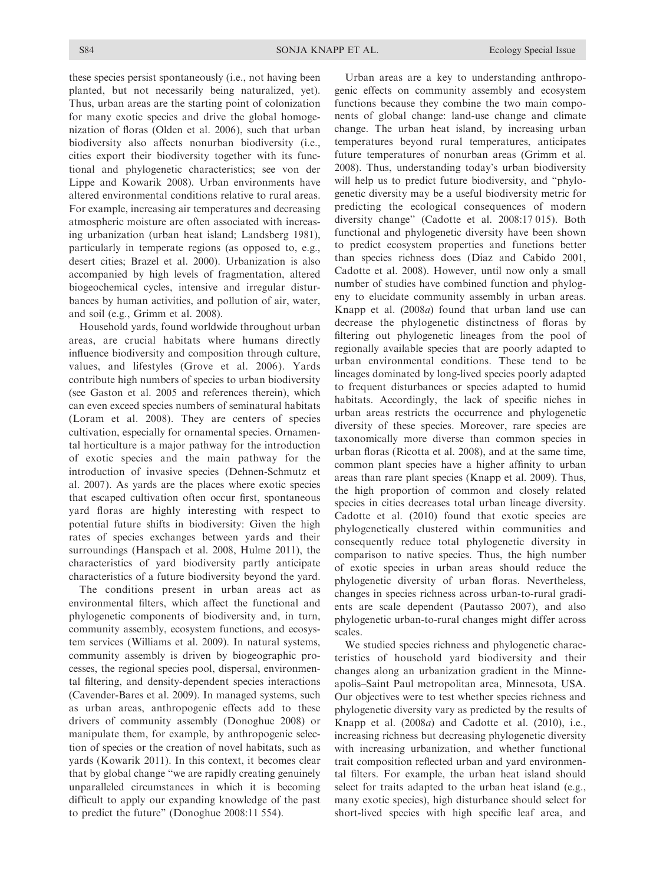these species persist spontaneously (i.e., not having been planted, but not necessarily being naturalized, yet). Thus, urban areas are the starting point of colonization for many exotic species and drive the global homogenization of floras (Olden et al. 2006), such that urban biodiversity also affects nonurban biodiversity (i.e., cities export their biodiversity together with its functional and phylogenetic characteristics; see von der Lippe and Kowarik 2008). Urban environments have altered environmental conditions relative to rural areas. For example, increasing air temperatures and decreasing atmospheric moisture are often associated with increasing urbanization (urban heat island; Landsberg 1981), particularly in temperate regions (as opposed to, e.g., desert cities; Brazel et al. 2000). Urbanization is also accompanied by high levels of fragmentation, altered biogeochemical cycles, intensive and irregular disturbances by human activities, and pollution of air, water, and soil (e.g., Grimm et al. 2008).

Household yards, found worldwide throughout urban areas, are crucial habitats where humans directly influence biodiversity and composition through culture, values, and lifestyles (Grove et al. 2006). Yards contribute high numbers of species to urban biodiversity (see Gaston et al. 2005 and references therein), which can even exceed species numbers of seminatural habitats (Loram et al. 2008). They are centers of species cultivation, especially for ornamental species. Ornamental horticulture is a major pathway for the introduction of exotic species and the main pathway for the introduction of invasive species (Dehnen-Schmutz et al. 2007). As yards are the places where exotic species that escaped cultivation often occur first, spontaneous yard floras are highly interesting with respect to potential future shifts in biodiversity: Given the high rates of species exchanges between yards and their surroundings (Hanspach et al. 2008, Hulme 2011), the characteristics of yard biodiversity partly anticipate characteristics of a future biodiversity beyond the yard.

The conditions present in urban areas act as environmental filters, which affect the functional and phylogenetic components of biodiversity and, in turn, community assembly, ecosystem functions, and ecosystem services (Williams et al. 2009). In natural systems, community assembly is driven by biogeographic processes, the regional species pool, dispersal, environmental filtering, and density-dependent species interactions (Cavender-Bares et al. 2009). In managed systems, such as urban areas, anthropogenic effects add to these drivers of community assembly (Donoghue 2008) or manipulate them, for example, by anthropogenic selection of species or the creation of novel habitats, such as yards (Kowarik 2011). In this context, it becomes clear that by global change ''we are rapidly creating genuinely unparalleled circumstances in which it is becoming difficult to apply our expanding knowledge of the past to predict the future'' (Donoghue 2008:11 554).

Urban areas are a key to understanding anthropogenic effects on community assembly and ecosystem functions because they combine the two main components of global change: land-use change and climate change. The urban heat island, by increasing urban temperatures beyond rural temperatures, anticipates future temperatures of nonurban areas (Grimm et al. 2008). Thus, understanding today's urban biodiversity will help us to predict future biodiversity, and ''phylogenetic diversity may be a useful biodiversity metric for predicting the ecological consequences of modern diversity change'' (Cadotte et al. 2008:17 015). Both functional and phylogenetic diversity have been shown to predict ecosystem properties and functions better than species richness does (Díaz and Cabido 2001, Cadotte et al. 2008). However, until now only a small number of studies have combined function and phylogeny to elucidate community assembly in urban areas. Knapp et al. (2008a) found that urban land use can decrease the phylogenetic distinctness of floras by filtering out phylogenetic lineages from the pool of regionally available species that are poorly adapted to urban environmental conditions. These tend to be lineages dominated by long-lived species poorly adapted to frequent disturbances or species adapted to humid habitats. Accordingly, the lack of specific niches in urban areas restricts the occurrence and phylogenetic diversity of these species. Moreover, rare species are taxonomically more diverse than common species in urban floras (Ricotta et al. 2008), and at the same time, common plant species have a higher affinity to urban areas than rare plant species (Knapp et al. 2009). Thus, the high proportion of common and closely related species in cities decreases total urban lineage diversity. Cadotte et al. (2010) found that exotic species are phylogenetically clustered within communities and consequently reduce total phylogenetic diversity in comparison to native species. Thus, the high number of exotic species in urban areas should reduce the phylogenetic diversity of urban floras. Nevertheless, changes in species richness across urban-to-rural gradients are scale dependent (Pautasso 2007), and also phylogenetic urban-to-rural changes might differ across scales.

We studied species richness and phylogenetic characteristics of household yard biodiversity and their changes along an urbanization gradient in the Minneapolis–Saint Paul metropolitan area, Minnesota, USA. Our objectives were to test whether species richness and phylogenetic diversity vary as predicted by the results of Knapp et al. (2008a) and Cadotte et al. (2010), i.e., increasing richness but decreasing phylogenetic diversity with increasing urbanization, and whether functional trait composition reflected urban and yard environmental filters. For example, the urban heat island should select for traits adapted to the urban heat island (e.g., many exotic species), high disturbance should select for short-lived species with high specific leaf area, and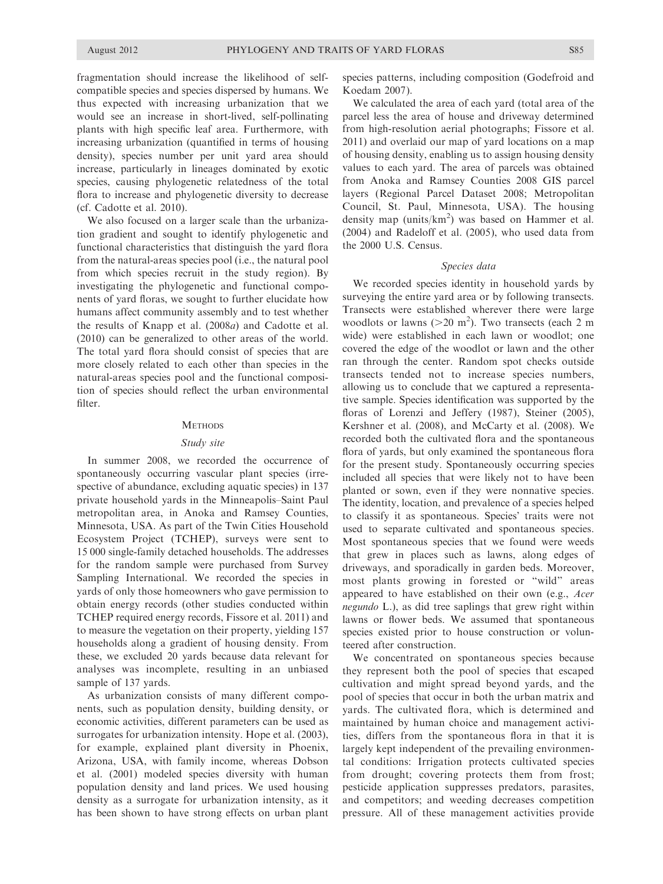fragmentation should increase the likelihood of selfcompatible species and species dispersed by humans. We thus expected with increasing urbanization that we would see an increase in short-lived, self-pollinating plants with high specific leaf area. Furthermore, with increasing urbanization (quantified in terms of housing density), species number per unit yard area should increase, particularly in lineages dominated by exotic species, causing phylogenetic relatedness of the total flora to increase and phylogenetic diversity to decrease (cf. Cadotte et al. 2010).

We also focused on a larger scale than the urbanization gradient and sought to identify phylogenetic and functional characteristics that distinguish the yard flora from the natural-areas species pool (i.e., the natural pool from which species recruit in the study region). By investigating the phylogenetic and functional components of yard floras, we sought to further elucidate how humans affect community assembly and to test whether the results of Knapp et al. (2008a) and Cadotte et al. (2010) can be generalized to other areas of the world. The total yard flora should consist of species that are more closely related to each other than species in the natural-areas species pool and the functional composition of species should reflect the urban environmental filter.

### **METHODS**

### Study site

In summer 2008, we recorded the occurrence of spontaneously occurring vascular plant species (irrespective of abundance, excluding aquatic species) in 137 private household yards in the Minneapolis–Saint Paul metropolitan area, in Anoka and Ramsey Counties, Minnesota, USA. As part of the Twin Cities Household Ecosystem Project (TCHEP), surveys were sent to 15 000 single-family detached households. The addresses for the random sample were purchased from Survey Sampling International. We recorded the species in yards of only those homeowners who gave permission to obtain energy records (other studies conducted within TCHEP required energy records, Fissore et al. 2011) and to measure the vegetation on their property, yielding 157 households along a gradient of housing density. From these, we excluded 20 yards because data relevant for analyses was incomplete, resulting in an unbiased sample of 137 yards.

As urbanization consists of many different components, such as population density, building density, or economic activities, different parameters can be used as surrogates for urbanization intensity. Hope et al. (2003), for example, explained plant diversity in Phoenix, Arizona, USA, with family income, whereas Dobson et al. (2001) modeled species diversity with human population density and land prices. We used housing density as a surrogate for urbanization intensity, as it has been shown to have strong effects on urban plant species patterns, including composition (Godefroid and Koedam 2007).

We calculated the area of each yard (total area of the parcel less the area of house and driveway determined from high-resolution aerial photographs; Fissore et al. 2011) and overlaid our map of yard locations on a map of housing density, enabling us to assign housing density values to each yard. The area of parcels was obtained from Anoka and Ramsey Counties 2008 GIS parcel layers (Regional Parcel Dataset 2008; Metropolitan Council, St. Paul, Minnesota, USA). The housing density map (units/km<sup>2</sup>) was based on Hammer et al. (2004) and Radeloff et al. (2005), who used data from the 2000 U.S. Census.

### Species data

We recorded species identity in household yards by surveying the entire yard area or by following transects. Transects were established wherever there were large woodlots or lawns  $(>20 \text{ m}^2)$ . Two transects (each 2 m wide) were established in each lawn or woodlot; one covered the edge of the woodlot or lawn and the other ran through the center. Random spot checks outside transects tended not to increase species numbers, allowing us to conclude that we captured a representative sample. Species identification was supported by the floras of Lorenzi and Jeffery (1987), Steiner (2005), Kershner et al. (2008), and McCarty et al. (2008). We recorded both the cultivated flora and the spontaneous flora of yards, but only examined the spontaneous flora for the present study. Spontaneously occurring species included all species that were likely not to have been planted or sown, even if they were nonnative species. The identity, location, and prevalence of a species helped to classify it as spontaneous. Species' traits were not used to separate cultivated and spontaneous species. Most spontaneous species that we found were weeds that grew in places such as lawns, along edges of driveways, and sporadically in garden beds. Moreover, most plants growing in forested or ''wild'' areas appeared to have established on their own (e.g., Acer negundo L.), as did tree saplings that grew right within lawns or flower beds. We assumed that spontaneous species existed prior to house construction or volunteered after construction.

We concentrated on spontaneous species because they represent both the pool of species that escaped cultivation and might spread beyond yards, and the pool of species that occur in both the urban matrix and yards. The cultivated flora, which is determined and maintained by human choice and management activities, differs from the spontaneous flora in that it is largely kept independent of the prevailing environmental conditions: Irrigation protects cultivated species from drought; covering protects them from frost; pesticide application suppresses predators, parasites, and competitors; and weeding decreases competition pressure. All of these management activities provide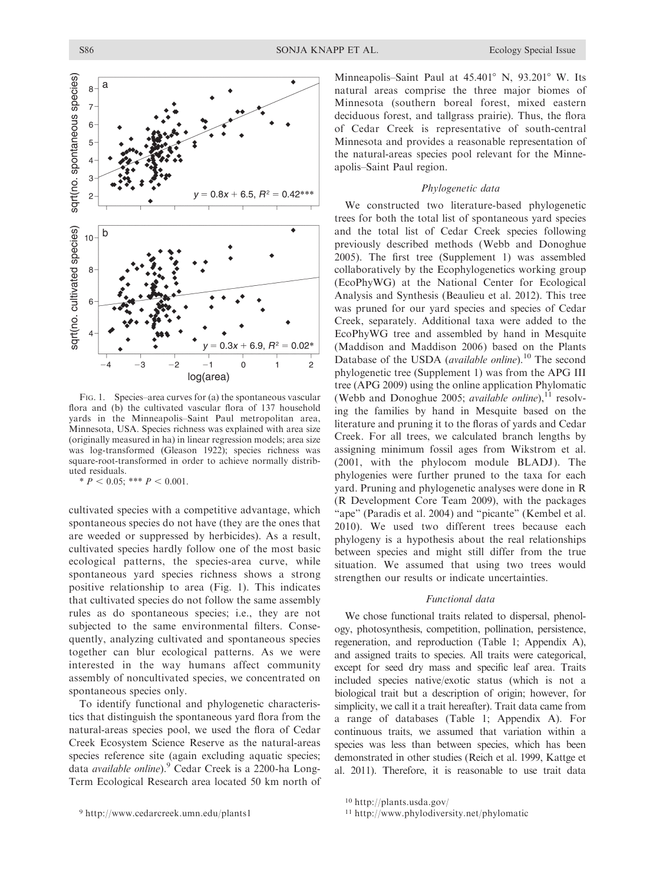

FIG. 1. Species–area curves for (a) the spontaneous vascular flora and (b) the cultivated vascular flora of 137 household yards in the Minneapolis–Saint Paul metropolitan area, Minnesota, USA. Species richness was explained with area size (originally measured in ha) in linear regression models; area size was log-transformed (Gleason 1922); species richness was square-root-transformed in order to achieve normally distributed residuals.

 $* P < 0.05; ** P < 0.001.$ 

cultivated species with a competitive advantage, which spontaneous species do not have (they are the ones that are weeded or suppressed by herbicides). As a result, cultivated species hardly follow one of the most basic ecological patterns, the species-area curve, while spontaneous yard species richness shows a strong positive relationship to area (Fig. 1). This indicates that cultivated species do not follow the same assembly rules as do spontaneous species; i.e., they are not subjected to the same environmental filters. Consequently, analyzing cultivated and spontaneous species together can blur ecological patterns. As we were interested in the way humans affect community assembly of noncultivated species, we concentrated on spontaneous species only.

To identify functional and phylogenetic characteristics that distinguish the spontaneous yard flora from the natural-areas species pool, we used the flora of Cedar Creek Ecosystem Science Reserve as the natural-areas species reference site (again excluding aquatic species; data available online).<sup>9</sup> Cedar Creek is a 2200-ha Long-Term Ecological Research area located 50 km north of Minneapolis–Saint Paul at  $45.401^{\circ}$  N,  $93.201^{\circ}$  W. Its natural areas comprise the three major biomes of Minnesota (southern boreal forest, mixed eastern deciduous forest, and tallgrass prairie). Thus, the flora of Cedar Creek is representative of south-central Minnesota and provides a reasonable representation of the natural-areas species pool relevant for the Minneapolis–Saint Paul region.

# Phylogenetic data

We constructed two literature-based phylogenetic trees for both the total list of spontaneous yard species and the total list of Cedar Creek species following previously described methods (Webb and Donoghue 2005). The first tree (Supplement 1) was assembled collaboratively by the Ecophylogenetics working group (EcoPhyWG) at the National Center for Ecological Analysis and Synthesis (Beaulieu et al. 2012). This tree was pruned for our yard species and species of Cedar Creek, separately. Additional taxa were added to the EcoPhyWG tree and assembled by hand in Mesquite (Maddison and Maddison 2006) based on the Plants Database of the USDA (available online).<sup>10</sup> The second phylogenetic tree (Supplement 1) was from the APG III tree (APG 2009) using the online application Phylomatic (Webb and Donoghue 2005; *available online*), $^{11}$  resolving the families by hand in Mesquite based on the literature and pruning it to the floras of yards and Cedar Creek. For all trees, we calculated branch lengths by assigning minimum fossil ages from Wikstrom et al. (2001, with the phylocom module BLADJ). The phylogenies were further pruned to the taxa for each yard. Pruning and phylogenetic analyses were done in R (R Development Core Team 2009), with the packages "ape" (Paradis et al. 2004) and "picante" (Kembel et al. 2010). We used two different trees because each phylogeny is a hypothesis about the real relationships between species and might still differ from the true situation. We assumed that using two trees would strengthen our results or indicate uncertainties.

# Functional data

We chose functional traits related to dispersal, phenology, photosynthesis, competition, pollination, persistence, regeneration, and reproduction (Table 1; Appendix A), and assigned traits to species. All traits were categorical, except for seed dry mass and specific leaf area. Traits included species native/exotic status (which is not a biological trait but a description of origin; however, for simplicity, we call it a trait hereafter). Trait data came from a range of databases (Table 1; Appendix A). For continuous traits, we assumed that variation within a species was less than between species, which has been demonstrated in other studies (Reich et al. 1999, Kattge et al. 2011). Therefore, it is reasonable to use trait data

<sup>9</sup> http://www.cedarcreek.umn.edu/plants1

<sup>10</sup> http://plants.usda.gov/

<sup>11</sup> http://www.phylodiversity.net/phylomatic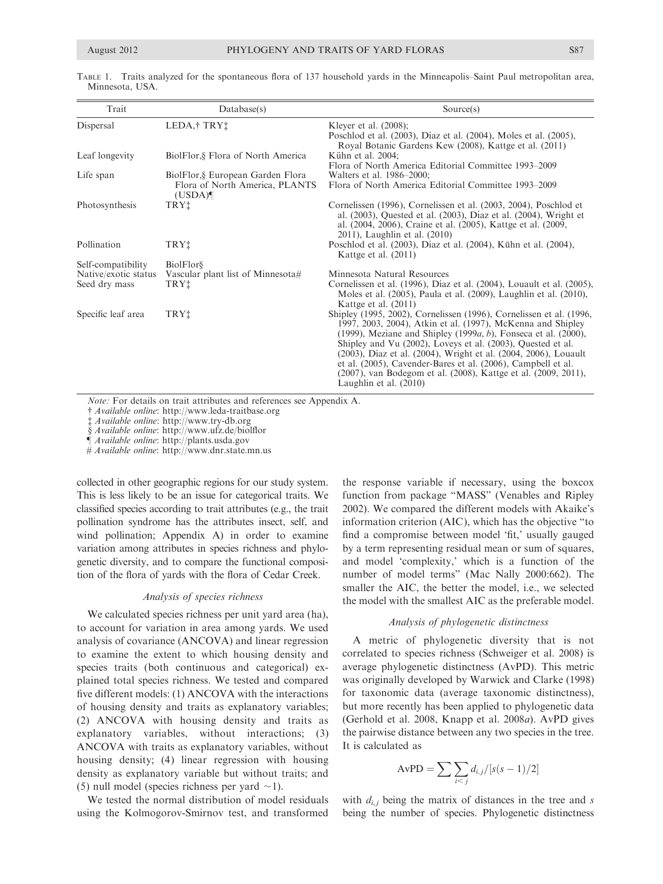| Trait                                 | Database(s)                                                                  | Source(s)                                                                                                                                                                                                                                                                                                                                                                                                                                                                                                   |
|---------------------------------------|------------------------------------------------------------------------------|-------------------------------------------------------------------------------------------------------------------------------------------------------------------------------------------------------------------------------------------------------------------------------------------------------------------------------------------------------------------------------------------------------------------------------------------------------------------------------------------------------------|
| Dispersal                             | LEDA,† TRY†                                                                  | Kleyer et al. $(2008)$ ;<br>Poschlod et al. (2003), Díaz et al. (2004), Moles et al. (2005),<br>Royal Botanic Gardens Kew (2008), Kattge et al. (2011)                                                                                                                                                                                                                                                                                                                                                      |
| Leaf longevity                        | BiolFlor,§ Flora of North America                                            | Kühn et al. 2004:<br>Flora of North America Editorial Committee 1993–2009                                                                                                                                                                                                                                                                                                                                                                                                                                   |
| Life span                             | BiolFlor,§ European Garden Flora<br>Flora of North America, PLANTS<br>(USDA) | Walters et al. 1986–2000;<br>Flora of North America Editorial Committee 1993–2009                                                                                                                                                                                                                                                                                                                                                                                                                           |
| Photosynthesis                        | TRYt                                                                         | Cornelissen (1996), Cornelissen et al. (2003, 2004), Poschlod et<br>al. (2003), Quested et al. (2003), Díaz et al. (2004), Wright et<br>al. (2004, 2006), Craine et al. (2005), Kattge et al. (2009,<br>2011), Laughlin et al. (2010)                                                                                                                                                                                                                                                                       |
| Pollination                           | TRYt                                                                         | Poschlod et al. (2003), Díaz et al. (2004), Kühn et al. (2004),<br>Kattge et al. $(2011)$                                                                                                                                                                                                                                                                                                                                                                                                                   |
| Self-compatibility                    | BiolFlor                                                                     |                                                                                                                                                                                                                                                                                                                                                                                                                                                                                                             |
| Native/exotic status<br>Seed dry mass | Vascular plant list of Minnesota#<br>TRYİ                                    | Minnesota Natural Resources<br>Cornelissen et al. (1996), Díaz et al. (2004), Louault et al. (2005),<br>Moles et al. (2005), Paula et al. (2009), Laughlin et al. (2010),<br>Kattge et al. $(2011)$                                                                                                                                                                                                                                                                                                         |
| Specific leaf area                    | TRYt                                                                         | Shipley (1995, 2002), Cornelissen (1996), Cornelissen et al. (1996,<br>1997, 2003, 2004), Atkin et al. (1997), McKenna and Shipley<br>(1999), Meziane and Shipley (1999 $a$ , $b$ ), Fonseca et al. (2000),<br>Shipley and Vu (2002), Loveys et al. (2003), Quested et al.<br>(2003), Díaz et al. (2004), Wright et al. (2004, 2006), Louault<br>et al. (2005), Cavender-Bares et al. (2006), Campbell et al.<br>(2007), van Bodegom et al. (2008), Kattge et al. (2009, 2011),<br>Laughlin et al. $(2010)$ |

TABLE 1. Traits analyzed for the spontaneous flora of 137 household yards in the Minneapolis–Saint Paul metropolitan area, Minnesota, USA.

Note: For details on trait attributes and references see Appendix A.

! Available online: http://www.leda-traitbase.org

" Available online: http://www.try-db.org

§ Available online: http://www.ufz.de/biolflor

} Available online: http://plants.usda.gov

# Available online: http://www.dnr.state.mn.us

collected in other geographic regions for our study system. This is less likely to be an issue for categorical traits. We classified species according to trait attributes (e.g., the trait pollination syndrome has the attributes insect, self, and wind pollination; Appendix A) in order to examine variation among attributes in species richness and phylogenetic diversity, and to compare the functional composition of the flora of yards with the flora of Cedar Creek.

### Analysis of species richness

We calculated species richness per unit yard area (ha), to account for variation in area among yards. We used analysis of covariance (ANCOVA) and linear regression to examine the extent to which housing density and species traits (both continuous and categorical) explained total species richness. We tested and compared five different models: (1) ANCOVA with the interactions of housing density and traits as explanatory variables; (2) ANCOVA with housing density and traits as explanatory variables, without interactions; (3) ANCOVA with traits as explanatory variables, without housing density; (4) linear regression with housing density as explanatory variable but without traits; and (5) null model (species richness per yard  $\sim$ 1).

We tested the normal distribution of model residuals using the Kolmogorov-Smirnov test, and transformed

the response variable if necessary, using the boxcox function from package ''MASS'' (Venables and Ripley 2002). We compared the different models with Akaike's information criterion (AIC), which has the objective ''to find a compromise between model 'fit,' usually gauged by a term representing residual mean or sum of squares, and model 'complexity,' which is a function of the number of model terms'' (Mac Nally 2000:662). The smaller the AIC, the better the model, i.e., we selected the model with the smallest AIC as the preferable model.

# Analysis of phylogenetic distinctness

A metric of phylogenetic diversity that is not correlated to species richness (Schweiger et al. 2008) is average phylogenetic distinctness (AvPD). This metric was originally developed by Warwick and Clarke (1998) for taxonomic data (average taxonomic distinctness), but more recently has been applied to phylogenetic data (Gerhold et al. 2008, Knapp et al. 2008a). AvPD gives the pairwise distance between any two species in the tree. It is calculated as

$$
AvPD = \sum \sum_{i < j} d_{i,j} / [s(s-1)/2]
$$

with  $d_{i,j}$  being the matrix of distances in the tree and s being the number of species. Phylogenetic distinctness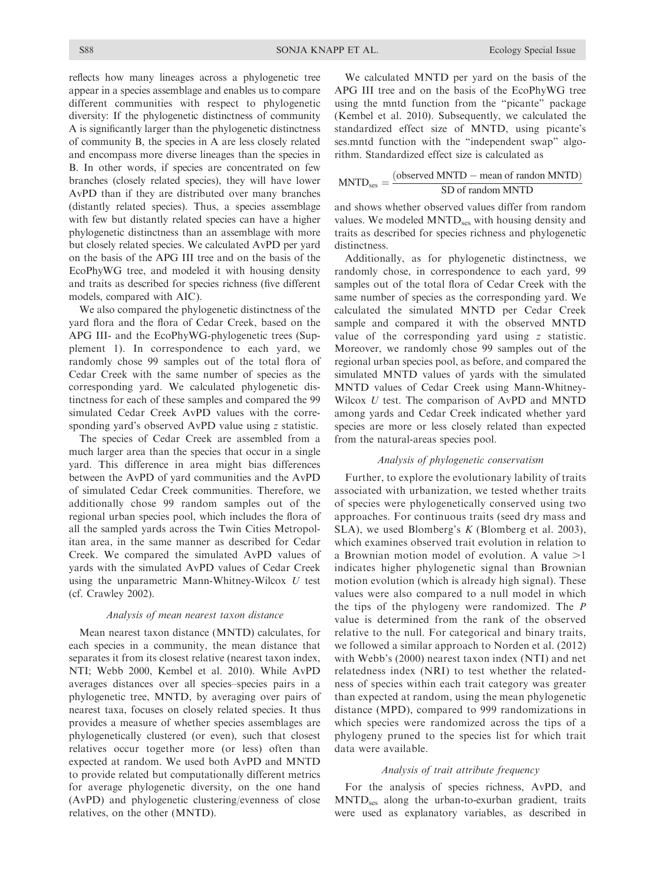reflects how many lineages across a phylogenetic tree appear in a species assemblage and enables us to compare different communities with respect to phylogenetic diversity: If the phylogenetic distinctness of community A is significantly larger than the phylogenetic distinctness of community B, the species in A are less closely related and encompass more diverse lineages than the species in B. In other words, if species are concentrated on few branches (closely related species), they will have lower AvPD than if they are distributed over many branches (distantly related species). Thus, a species assemblage with few but distantly related species can have a higher phylogenetic distinctness than an assemblage with more but closely related species. We calculated AvPD per yard on the basis of the APG III tree and on the basis of the EcoPhyWG tree, and modeled it with housing density and traits as described for species richness (five different models, compared with AIC).

We also compared the phylogenetic distinctness of the yard flora and the flora of Cedar Creek, based on the APG III- and the EcoPhyWG-phylogenetic trees (Supplement 1). In correspondence to each yard, we randomly chose 99 samples out of the total flora of Cedar Creek with the same number of species as the corresponding yard. We calculated phylogenetic distinctness for each of these samples and compared the 99 simulated Cedar Creek AvPD values with the corresponding yard's observed AvPD value using z statistic.

The species of Cedar Creek are assembled from a much larger area than the species that occur in a single yard. This difference in area might bias differences between the AvPD of yard communities and the AvPD of simulated Cedar Creek communities. Therefore, we additionally chose 99 random samples out of the regional urban species pool, which includes the flora of all the sampled yards across the Twin Cities Metropolitan area, in the same manner as described for Cedar Creek. We compared the simulated AvPD values of yards with the simulated AvPD values of Cedar Creek using the unparametric Mann-Whitney-Wilcox  $U$  test (cf. Crawley 2002).

#### Analysis of mean nearest taxon distance

Mean nearest taxon distance (MNTD) calculates, for each species in a community, the mean distance that separates it from its closest relative (nearest taxon index, NTI; Webb 2000, Kembel et al. 2010). While AvPD averages distances over all species–species pairs in a phylogenetic tree, MNTD, by averaging over pairs of nearest taxa, focuses on closely related species. It thus provides a measure of whether species assemblages are phylogenetically clustered (or even), such that closest relatives occur together more (or less) often than expected at random. We used both AvPD and MNTD to provide related but computationally different metrics for average phylogenetic diversity, on the one hand (AvPD) and phylogenetic clustering/evenness of close relatives, on the other (MNTD).

We calculated MNTD per yard on the basis of the APG III tree and on the basis of the EcoPhyWG tree using the mntd function from the ''picante'' package (Kembel et al. 2010). Subsequently, we calculated the standardized effect size of MNTD, using picante's ses.mntd function with the ''independent swap'' algorithm. Standardized effect size is calculated as

$$
MNTDses = \frac{(observed MNTD - mean of random MNTD)}{SD of random MNTD}
$$

and shows whether observed values differ from random values. We modeled  $MNTD_{ses}$  with housing density and traits as described for species richness and phylogenetic distinctness.

Additionally, as for phylogenetic distinctness, we randomly chose, in correspondence to each yard, 99 samples out of the total flora of Cedar Creek with the same number of species as the corresponding yard. We calculated the simulated MNTD per Cedar Creek sample and compared it with the observed MNTD value of the corresponding yard using z statistic. Moreover, we randomly chose 99 samples out of the regional urban species pool, as before, and compared the simulated MNTD values of yards with the simulated MNTD values of Cedar Creek using Mann-Whitney-Wilcox U test. The comparison of AvPD and MNTD among yards and Cedar Creek indicated whether yard species are more or less closely related than expected from the natural-areas species pool.

# Analysis of phylogenetic conservatism

Further, to explore the evolutionary lability of traits associated with urbanization, we tested whether traits of species were phylogenetically conserved using two approaches. For continuous traits (seed dry mass and SLA), we used Blomberg's K (Blomberg et al. 2003), which examines observed trait evolution in relation to a Brownian motion model of evolution. A value  $>1$ indicates higher phylogenetic signal than Brownian motion evolution (which is already high signal). These values were also compared to a null model in which the tips of the phylogeny were randomized. The P value is determined from the rank of the observed relative to the null. For categorical and binary traits, we followed a similar approach to Norden et al. (2012) with Webb's (2000) nearest taxon index (NTI) and net relatedness index (NRI) to test whether the relatedness of species within each trait category was greater than expected at random, using the mean phylogenetic distance (MPD), compared to 999 randomizations in which species were randomized across the tips of a phylogeny pruned to the species list for which trait data were available.

### Analysis of trait attribute frequency

For the analysis of species richness, AvPD, and MNTD<sub>ses</sub> along the urban-to-exurban gradient, traits were used as explanatory variables, as described in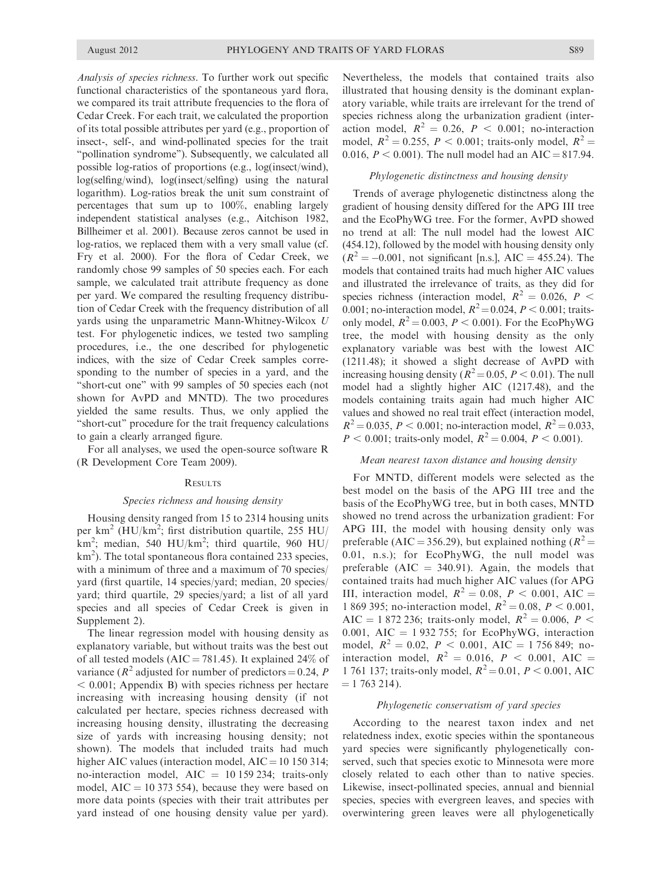Analysis of species richness. To further work out specific functional characteristics of the spontaneous yard flora, we compared its trait attribute frequencies to the flora of Cedar Creek. For each trait, we calculated the proportion of its total possible attributes per yard (e.g., proportion of insect-, self-, and wind-pollinated species for the trait ''pollination syndrome''). Subsequently, we calculated all possible log-ratios of proportions (e.g., log(insect/wind), log(selfing/wind), log(insect/selfing) using the natural logarithm). Log-ratios break the unit sum constraint of percentages that sum up to 100%, enabling largely independent statistical analyses (e.g., Aitchison 1982, Billheimer et al. 2001). Because zeros cannot be used in log-ratios, we replaced them with a very small value (cf. Fry et al. 2000). For the flora of Cedar Creek, we randomly chose 99 samples of 50 species each. For each sample, we calculated trait attribute frequency as done per yard. We compared the resulting frequency distribution of Cedar Creek with the frequency distribution of all yards using the unparametric Mann-Whitney-Wilcox U test. For phylogenetic indices, we tested two sampling procedures, i.e., the one described for phylogenetic indices, with the size of Cedar Creek samples corresponding to the number of species in a yard, and the ''short-cut one'' with 99 samples of 50 species each (not shown for AvPD and MNTD). The two procedures yielded the same results. Thus, we only applied the ''short-cut'' procedure for the trait frequency calculations to gain a clearly arranged figure.

For all analyses, we used the open-source software R (R Development Core Team 2009).

### **RESULTS**

### Species richness and housing density

Housing density ranged from 15 to 2314 housing units per km<sup>2</sup> (HU/km<sup>2</sup>; first distribution quartile, 255 HU/  $km^2$ ; median, 540 HU/km<sup>2</sup>; third quartile, 960 HU/ km<sup>2</sup>). The total spontaneous flora contained 233 species, with a minimum of three and a maximum of 70 species/ yard (first quartile, 14 species/yard; median, 20 species/ yard; third quartile, 29 species/yard; a list of all yard species and all species of Cedar Creek is given in Supplement 2).

The linear regression model with housing density as explanatory variable, but without traits was the best out of all tested models (AIC = 781.45). It explained 24% of variance ( $R^2$  adjusted for number of predictors = 0.24, P  $<$  0.001; Appendix B) with species richness per hectare increasing with increasing housing density (if not calculated per hectare, species richness decreased with increasing housing density, illustrating the decreasing size of yards with increasing housing density; not shown). The models that included traits had much higher AIC values (interaction model,  $AIC = 10 150 314$ ; no-interaction model,  $AIC = 10 159 234$ ; traits-only model,  $AIC = 10\,373\,554$ ), because they were based on more data points (species with their trait attributes per yard instead of one housing density value per yard). Nevertheless, the models that contained traits also illustrated that housing density is the dominant explanatory variable, while traits are irrelevant for the trend of species richness along the urbanization gradient (interaction model,  $R^2 = 0.26$ ,  $P < 0.001$ ; no-interaction model,  $R^2 = 0.255$ ,  $P < 0.001$ ; traits-only model,  $R^2 =$ 0.016,  $P < 0.001$ ). The null model had an AIC = 817.94.

# Phylogenetic distinctness and housing density

Trends of average phylogenetic distinctness along the gradient of housing density differed for the APG III tree and the EcoPhyWG tree. For the former, AvPD showed no trend at all: The null model had the lowest AIC (454.12), followed by the model with housing density only  $(R^{2} = -0.001$ , not significant [n.s.], AIC = 455.24). The models that contained traits had much higher AIC values and illustrated the irrelevance of traits, as they did for species richness (interaction model,  $R^2 = 0.026$ ,  $P <$ 0.001; no-interaction model,  $R^2 = 0.024$ ,  $P < 0.001$ ; traitsonly model,  $R^2 = 0.003$ ,  $P < 0.001$ ). For the EcoPhyWG tree, the model with housing density as the only explanatory variable was best with the lowest AIC (1211.48); it showed a slight decrease of AvPD with increasing housing density ( $R^2$  = 0.05,  $P$  < 0.01). The null model had a slightly higher AIC (1217.48), and the models containing traits again had much higher AIC values and showed no real trait effect (interaction model,  $R^2 = 0.035$ ,  $P < 0.001$ ; no-interaction model,  $R^2 = 0.033$ ,  $P < 0.001$ ; traits-only model,  $R^2 = 0.004$ ,  $P < 0.001$ ).

### Mean nearest taxon distance and housing density

For MNTD, different models were selected as the best model on the basis of the APG III tree and the basis of the EcoPhyWG tree, but in both cases, MNTD showed no trend across the urbanization gradient: For APG III, the model with housing density only was preferable (AIC = 356.29), but explained nothing ( $R^2$  = 0.01, n.s.); for EcoPhyWG, the null model was preferable (AIC  $=$  340.91). Again, the models that contained traits had much higher AIC values (for APG III, interaction model,  $R^2 = 0.08$ ,  $P < 0.001$ , AIC = 1 869 395; no-interaction model,  $R^2 = 0.08$ ,  $P < 0.001$ , AIC = 1 872 236; traits-only model,  $R^2 = 0.006$ ,  $P <$ 0.001, AIC =  $1\,932\,755$ ; for EcoPhyWG, interaction model,  $R^2 = 0.02$ ,  $P < 0.001$ , AIC = 1 756 849; nointeraction model,  $R^2 = 0.016$ ,  $P < 0.001$ , AIC = 1 761 137; traits-only model,  $R^2 = 0.01$ ,  $P < 0.001$ , AIC  $= 1763214$ .

# Phylogenetic conservatism of yard species

According to the nearest taxon index and net relatedness index, exotic species within the spontaneous yard species were significantly phylogenetically conserved, such that species exotic to Minnesota were more closely related to each other than to native species. Likewise, insect-pollinated species, annual and biennial species, species with evergreen leaves, and species with overwintering green leaves were all phylogenetically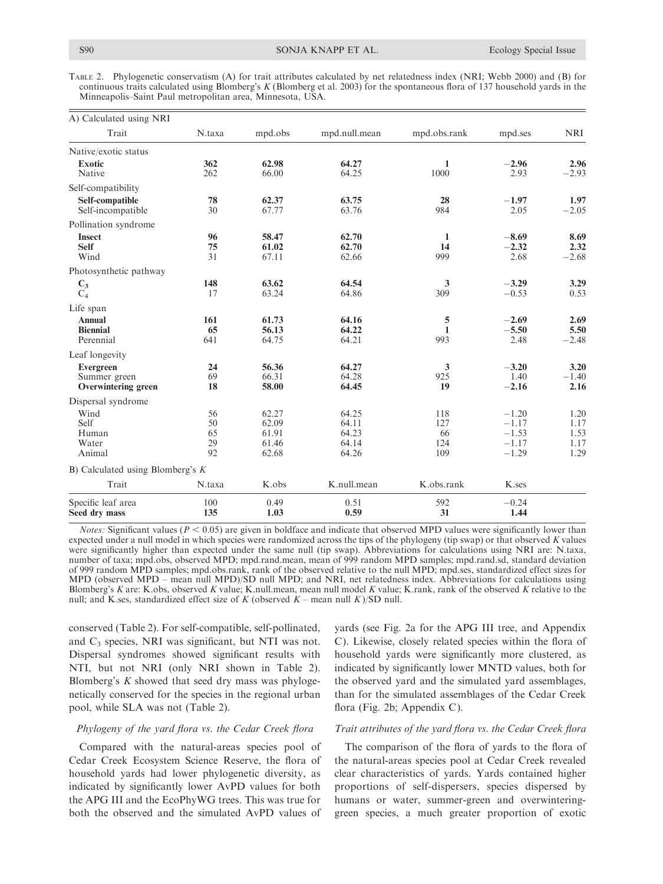TABLE 2. Phylogenetic conservatism (A) for trait attributes calculated by net relatedness index (NRI; Webb 2000) and (B) for continuous traits calculated using Blomberg's K (Blomberg et al. 2003) for the spontaneous flora of 137 household yards in the Minneapolis–Saint Paul metropolitan area, Minnesota, USA.

| A) Calculated using NRI                                 |                            |                                           |                                           |                                |                                                     |                                      |
|---------------------------------------------------------|----------------------------|-------------------------------------------|-------------------------------------------|--------------------------------|-----------------------------------------------------|--------------------------------------|
| Trait                                                   | N.taxa                     | mpd.obs                                   | mpd.null.mean                             | mpd.obs.rank                   | mpd.ses                                             | NRI                                  |
| Native/exotic status                                    |                            |                                           |                                           |                                |                                                     |                                      |
| <b>Exotic</b><br>Native                                 | 362<br>262                 | 62.98<br>66.00                            | 64.27<br>64.25                            | 1<br>1000                      | $-2.96$<br>2.93                                     | 2.96<br>$-2.93$                      |
| Self-compatibility                                      |                            |                                           |                                           |                                |                                                     |                                      |
| Self-compatible<br>Self-incompatible                    | 78<br>30                   | 62.37<br>67.77                            | 63.75<br>63.76                            | 28<br>984                      | $-1.97$<br>2.05                                     | 1.97<br>$-2.05$                      |
| Pollination syndrome                                    |                            |                                           |                                           |                                |                                                     |                                      |
| Insect<br><b>Self</b><br>Wind                           | 96<br>75<br>31             | 58.47<br>61.02<br>67.11                   | 62.70<br>62.70<br>62.66                   | -1<br>14<br>999                | $-8.69$<br>$-2.32$<br>2.68                          | 8.69<br>2.32<br>$-2.68$              |
| Photosynthetic pathway                                  |                            |                                           |                                           |                                |                                                     |                                      |
| $C_3$<br>$C_4$                                          | 148<br>17                  | 63.62<br>63.24                            | 64.54<br>64.86                            | 3<br>309                       | $-3.29$<br>$-0.53$                                  | 3.29<br>0.53                         |
| Life span                                               |                            |                                           |                                           |                                |                                                     |                                      |
| <b>Annual</b><br><b>Biennial</b><br>Perennial           | 161<br>65<br>641           | 61.73<br>56.13<br>64.75                   | 64.16<br>64.22<br>64.21                   | 5<br>$\mathbf{1}$<br>993       | $-2.69$<br>$-5.50$<br>2.48                          | 2.69<br>5.50<br>$-2.48$              |
| Leaf longevity                                          |                            |                                           |                                           |                                |                                                     |                                      |
| Evergreen<br>Summer green<br><b>Overwintering green</b> | 24<br>69<br>18             | 56.36<br>66.31<br>58.00                   | 64.27<br>64.28<br>64.45                   | 3<br>925<br>19                 | $-3.20$<br>1.40<br>$-2.16$                          | 3.20<br>$-1.40$<br>2.16              |
| Dispersal syndrome                                      |                            |                                           |                                           |                                |                                                     |                                      |
| Wind<br>Self<br>Human<br>Water<br>Animal                | 56<br>50<br>65<br>29<br>92 | 62.27<br>62.09<br>61.91<br>61.46<br>62.68 | 64.25<br>64.11<br>64.23<br>64.14<br>64.26 | 118<br>127<br>66<br>124<br>109 | $-1.20$<br>$-1.17$<br>$-1.53$<br>$-1.17$<br>$-1.29$ | 1.20<br>1.17<br>1.53<br>1.17<br>1.29 |
| B) Calculated using Blomberg's $K$                      |                            |                                           |                                           |                                |                                                     |                                      |
| Trait                                                   | N.taxa                     | K.obs                                     | K.null.mean                               | K.obs.rank                     | K.ses                                               |                                      |
| Specific leaf area<br>Seed dry mass                     | 100<br>135                 | 0.49<br>1.03                              | 0.51<br>0.59                              | 592<br>31                      | $-0.24$<br>1.44                                     |                                      |

*Notes:* Significant values ( $P < 0.05$ ) are given in boldface and indicate that observed MPD values were significantly lower than expected under a null model in which species were randomized across the tips of the phylogeny (tip swap) or that observed  $K$  values were significantly higher than expected under the same null (tip swap). Abbreviations for calculations using NRI are: N.taxa, number of taxa; mpd.obs, observed MPD; mpd.rand.mean, mean of 999 random MPD samples; mpd.rand.sd, standard deviation of 999 random MPD samples; mpd.obs.rank, rank of the observed relative to the null MPD; mpd.ses, standardized effect sizes for MPD (observed MPD – mean null MPD)/SD null MPD; and NRI, net relatedness index. Abbreviations for calculations using Blomberg's K are: K.obs, observed K value; K.null.mean, mean null model K value; K.rank, rank of the observed K relative to the null; and K.ses, standardized effect size of K (observed  $K$  – mean null K)/SD null.

conserved (Table 2). For self-compatible, self-pollinated, and  $C_3$  species, NRI was significant, but NTI was not. Dispersal syndromes showed significant results with NTI, but not NRI (only NRI shown in Table 2). Blomberg's  $K$  showed that seed dry mass was phylogenetically conserved for the species in the regional urban pool, while SLA was not (Table 2).

# Phylogeny of the yard flora vs. the Cedar Creek flora

Compared with the natural-areas species pool of Cedar Creek Ecosystem Science Reserve, the flora of household yards had lower phylogenetic diversity, as indicated by significantly lower AvPD values for both the APG III and the EcoPhyWG trees. This was true for both the observed and the simulated AvPD values of yards (see Fig. 2a for the APG III tree, and Appendix C). Likewise, closely related species within the flora of household yards were significantly more clustered, as indicated by significantly lower MNTD values, both for the observed yard and the simulated yard assemblages, than for the simulated assemblages of the Cedar Creek flora (Fig. 2b; Appendix C).

# Trait attributes of the yard flora vs. the Cedar Creek flora

The comparison of the flora of yards to the flora of the natural-areas species pool at Cedar Creek revealed clear characteristics of yards. Yards contained higher proportions of self-dispersers, species dispersed by humans or water, summer-green and overwinteringgreen species, a much greater proportion of exotic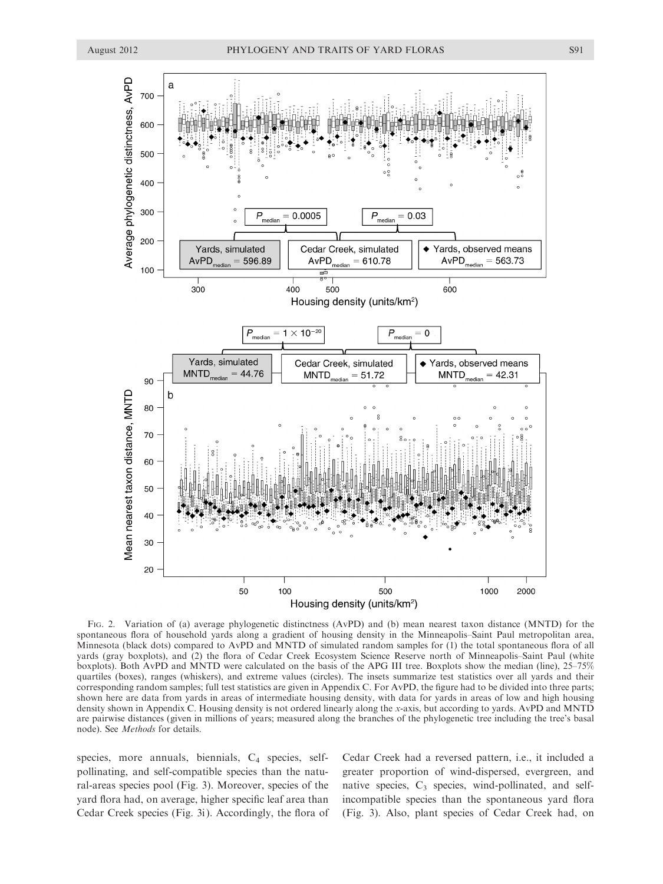

Housing density (units/km<sup>2</sup>)

FIG. 2. Variation of (a) average phylogenetic distinctness (AvPD) and (b) mean nearest taxon distance (MNTD) for the spontaneous flora of household yards along a gradient of housing density in the Minneapolis–Saint Paul metropolitan area, Minnesota (black dots) compared to AvPD and MNTD of simulated random samples for (1) the total spontaneous flora of all yards (gray boxplots), and (2) the flora of Cedar Creek Ecosystem Science Reserve north of Minneapolis–Saint Paul (white boxplots). Both AvPD and MNTD were calculated on the basis of the APG III tree. Boxplots show the median (line), 25–75% quartiles (boxes), ranges (whiskers), and extreme values (circles). The insets summarize test statistics over all yards and their corresponding random samples; full test statistics are given in Appendix C. For AvPD, the figure had to be divided into three parts; shown here are data from yards in areas of intermediate housing density, with data for yards in areas of low and high housing density shown in Appendix C. Housing density is not ordered linearly along the x-axis, but according to yards. AvPD and MNTD are pairwise distances (given in millions of years; measured along the branches of the phylogenetic tree including the tree's basal node). See Methods for details.

species, more annuals, biennials, C<sub>4</sub> species, selfpollinating, and self-compatible species than the natural-areas species pool (Fig. 3). Moreover, species of the yard flora had, on average, higher specific leaf area than Cedar Creek species (Fig. 3i ). Accordingly, the flora of

Cedar Creek had a reversed pattern, i.e., it included a greater proportion of wind-dispersed, evergreen, and native species,  $C_3$  species, wind-pollinated, and selfincompatible species than the spontaneous yard flora (Fig. 3). Also, plant species of Cedar Creek had, on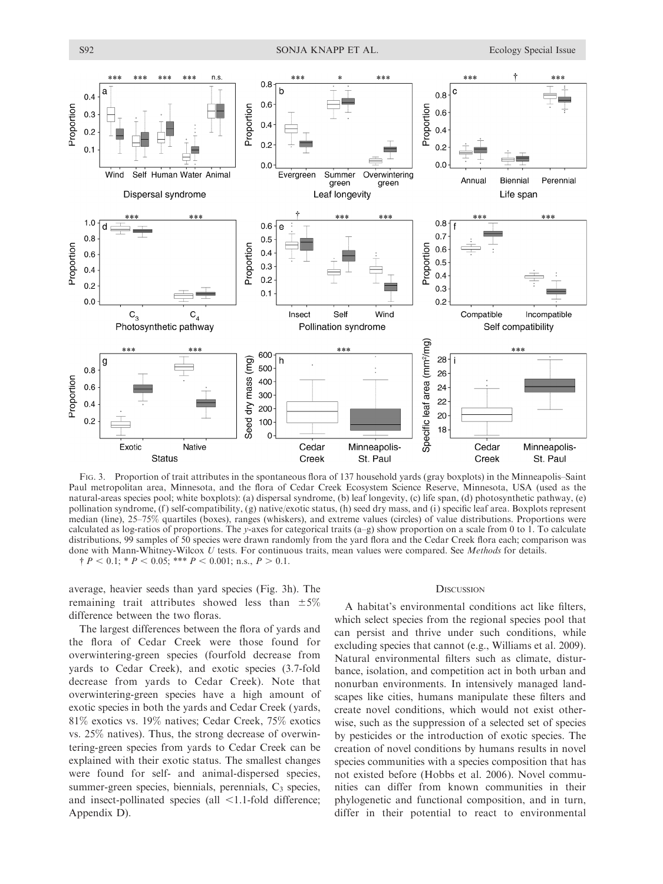

FIG. 3. Proportion of trait attributes in the spontaneous flora of 137 household yards (gray boxplots) in the Minneapolis–Saint Paul metropolitan area, Minnesota, and the flora of Cedar Creek Ecosystem Science Reserve, Minnesota, USA (used as the natural-areas species pool; white boxplots): (a) dispersal syndrome, (b) leaf longevity, (c) life span, (d) photosynthetic pathway, (e) pollination syndrome, (f) self-compatibility, (g) native/exotic status, (h) seed dry mass, and (i) specific leaf area. Boxplots represent median (line), 25–75% quartiles (boxes), ranges (whiskers), and extreme values (circles) of value distributions. Proportions were calculated as log-ratios of proportions. The y-axes for categorical traits  $(a-g)$  show proportion on a scale from 0 to 1. To calculate distributions, 99 samples of 50 species were drawn randomly from the yard flora and the Cedar Creek flora each; comparison was done with Mann-Whitney-Wilcox U tests. For continuous traits, mean values were compared. See Methods for details.  $\dagger$  P < 0.1; \* P < 0.05; \*\*\* P < 0.001; n.s., P > 0.1.

average, heavier seeds than yard species (Fig. 3h). The remaining trait attributes showed less than  $\pm 5\%$ difference between the two floras.

The largest differences between the flora of yards and the flora of Cedar Creek were those found for overwintering-green species (fourfold decrease from yards to Cedar Creek), and exotic species (3.7-fold decrease from yards to Cedar Creek). Note that overwintering-green species have a high amount of exotic species in both the yards and Cedar Creek (yards, 81% exotics vs. 19% natives; Cedar Creek, 75% exotics vs. 25% natives). Thus, the strong decrease of overwintering-green species from yards to Cedar Creek can be explained with their exotic status. The smallest changes were found for self- and animal-dispersed species, summer-green species, biennials, perennials,  $C_3$  species, and insect-pollinated species (all  $\leq$ 1.1-fold difference; Appendix D).

### **DISCUSSION**

A habitat's environmental conditions act like filters, which select species from the regional species pool that can persist and thrive under such conditions, while excluding species that cannot (e.g., Williams et al. 2009). Natural environmental filters such as climate, disturbance, isolation, and competition act in both urban and nonurban environments. In intensively managed landscapes like cities, humans manipulate these filters and create novel conditions, which would not exist otherwise, such as the suppression of a selected set of species by pesticides or the introduction of exotic species. The creation of novel conditions by humans results in novel species communities with a species composition that has not existed before (Hobbs et al. 2006). Novel communities can differ from known communities in their phylogenetic and functional composition, and in turn, differ in their potential to react to environmental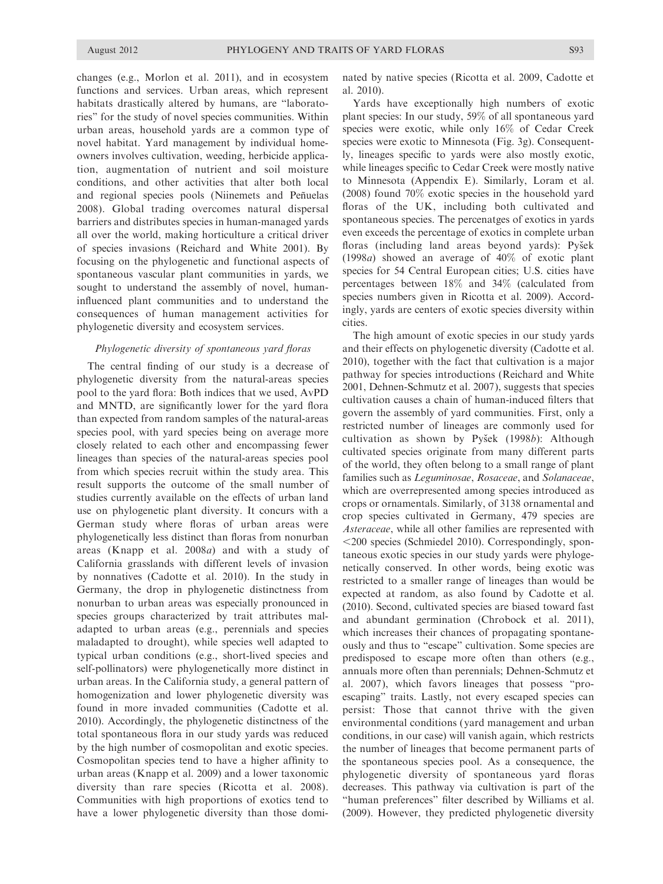changes (e.g., Morlon et al. 2011), and in ecosystem functions and services. Urban areas, which represent habitats drastically altered by humans, are ''laboratories'' for the study of novel species communities. Within urban areas, household yards are a common type of novel habitat. Yard management by individual homeowners involves cultivation, weeding, herbicide application, augmentation of nutrient and soil moisture conditions, and other activities that alter both local and regional species pools (Niinemets and Peñuelas 2008). Global trading overcomes natural dispersal barriers and distributes species in human-managed yards all over the world, making horticulture a critical driver of species invasions (Reichard and White 2001). By focusing on the phylogenetic and functional aspects of spontaneous vascular plant communities in yards, we sought to understand the assembly of novel, humaninfluenced plant communities and to understand the consequences of human management activities for phylogenetic diversity and ecosystem services.

### Phylogenetic diversity of spontaneous yard floras

The central finding of our study is a decrease of phylogenetic diversity from the natural-areas species pool to the yard flora: Both indices that we used, AvPD and MNTD, are significantly lower for the yard flora than expected from random samples of the natural-areas species pool, with yard species being on average more closely related to each other and encompassing fewer lineages than species of the natural-areas species pool from which species recruit within the study area. This result supports the outcome of the small number of studies currently available on the effects of urban land use on phylogenetic plant diversity. It concurs with a German study where floras of urban areas were phylogenetically less distinct than floras from nonurban areas (Knapp et al. 2008a) and with a study of California grasslands with different levels of invasion by nonnatives (Cadotte et al. 2010). In the study in Germany, the drop in phylogenetic distinctness from nonurban to urban areas was especially pronounced in species groups characterized by trait attributes maladapted to urban areas (e.g., perennials and species maladapted to drought), while species well adapted to typical urban conditions (e.g., short-lived species and self-pollinators) were phylogenetically more distinct in urban areas. In the California study, a general pattern of homogenization and lower phylogenetic diversity was found in more invaded communities (Cadotte et al. 2010). Accordingly, the phylogenetic distinctness of the total spontaneous flora in our study yards was reduced by the high number of cosmopolitan and exotic species. Cosmopolitan species tend to have a higher affinity to urban areas (Knapp et al. 2009) and a lower taxonomic diversity than rare species (Ricotta et al. 2008). Communities with high proportions of exotics tend to have a lower phylogenetic diversity than those dominated by native species (Ricotta et al. 2009, Cadotte et al. 2010).

Yards have exceptionally high numbers of exotic plant species: In our study, 59% of all spontaneous yard species were exotic, while only 16% of Cedar Creek species were exotic to Minnesota (Fig. 3g). Consequently, lineages specific to yards were also mostly exotic, while lineages specific to Cedar Creek were mostly native to Minnesota (Appendix E). Similarly, Loram et al. (2008) found 70% exotic species in the household yard floras of the UK, including both cultivated and spontaneous species. The percenatges of exotics in yards even exceeds the percentage of exotics in complete urban floras (including land areas beyond yards): Pyšek (1998a) showed an average of 40% of exotic plant species for 54 Central European cities; U.S. cities have percentages between 18% and 34% (calculated from species numbers given in Ricotta et al. 2009). Accordingly, yards are centers of exotic species diversity within cities.

The high amount of exotic species in our study yards and their effects on phylogenetic diversity (Cadotte et al. 2010), together with the fact that cultivation is a major pathway for species introductions (Reichard and White 2001, Dehnen-Schmutz et al. 2007), suggests that species cultivation causes a chain of human-induced filters that govern the assembly of yard communities. First, only a restricted number of lineages are commonly used for cultivation as shown by Pyšek  $(1998b)$ : Although cultivated species originate from many different parts of the world, they often belong to a small range of plant families such as Leguminosae, Rosaceae, and Solanaceae, which are overrepresented among species introduced as crops or ornamentals. Similarly, of 3138 ornamental and crop species cultivated in Germany, 479 species are Asteraceae, while all other families are represented with  $\leq$ 200 species (Schmiedel 2010). Correspondingly, spontaneous exotic species in our study yards were phylogenetically conserved. In other words, being exotic was restricted to a smaller range of lineages than would be expected at random, as also found by Cadotte et al. (2010). Second, cultivated species are biased toward fast and abundant germination (Chrobock et al. 2011), which increases their chances of propagating spontaneously and thus to ''escape'' cultivation. Some species are predisposed to escape more often than others (e.g., annuals more often than perennials; Dehnen-Schmutz et al. 2007), which favors lineages that possess ''proescaping'' traits. Lastly, not every escaped species can persist: Those that cannot thrive with the given environmental conditions (yard management and urban conditions, in our case) will vanish again, which restricts the number of lineages that become permanent parts of the spontaneous species pool. As a consequence, the phylogenetic diversity of spontaneous yard floras decreases. This pathway via cultivation is part of the ''human preferences'' filter described by Williams et al. (2009). However, they predicted phylogenetic diversity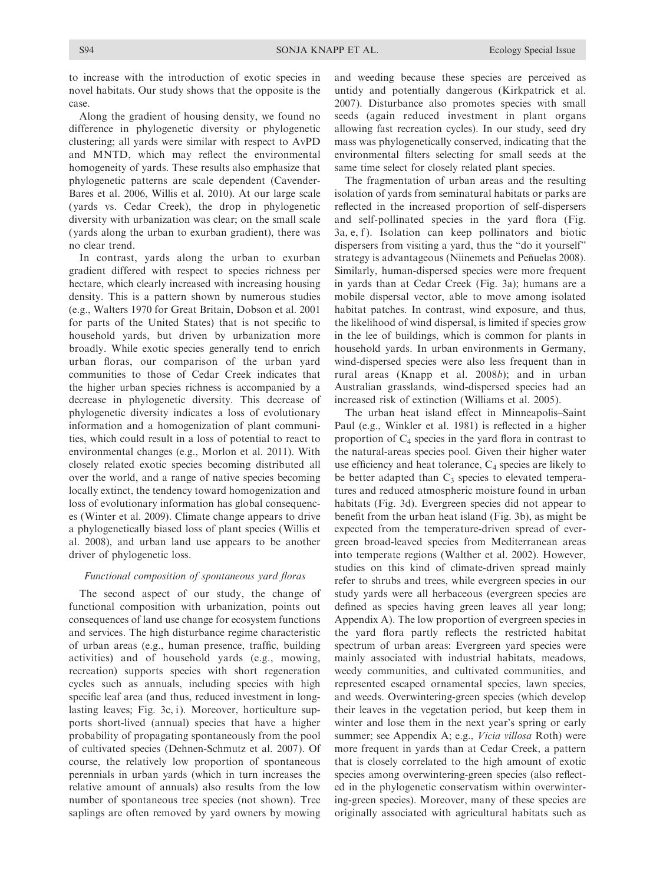to increase with the introduction of exotic species in novel habitats. Our study shows that the opposite is the case.

Along the gradient of housing density, we found no difference in phylogenetic diversity or phylogenetic clustering; all yards were similar with respect to AvPD and MNTD, which may reflect the environmental homogeneity of yards. These results also emphasize that phylogenetic patterns are scale dependent (Cavender-Bares et al. 2006, Willis et al. 2010). At our large scale (yards vs. Cedar Creek), the drop in phylogenetic diversity with urbanization was clear; on the small scale (yards along the urban to exurban gradient), there was no clear trend.

In contrast, yards along the urban to exurban gradient differed with respect to species richness per hectare, which clearly increased with increasing housing density. This is a pattern shown by numerous studies (e.g., Walters 1970 for Great Britain, Dobson et al. 2001 for parts of the United States) that is not specific to household yards, but driven by urbanization more broadly. While exotic species generally tend to enrich urban floras, our comparison of the urban yard communities to those of Cedar Creek indicates that the higher urban species richness is accompanied by a decrease in phylogenetic diversity. This decrease of phylogenetic diversity indicates a loss of evolutionary information and a homogenization of plant communities, which could result in a loss of potential to react to environmental changes (e.g., Morlon et al. 2011). With closely related exotic species becoming distributed all over the world, and a range of native species becoming locally extinct, the tendency toward homogenization and loss of evolutionary information has global consequences (Winter et al. 2009). Climate change appears to drive a phylogenetically biased loss of plant species (Willis et al. 2008), and urban land use appears to be another driver of phylogenetic loss.

### Functional composition of spontaneous yard floras

The second aspect of our study, the change of functional composition with urbanization, points out consequences of land use change for ecosystem functions and services. The high disturbance regime characteristic of urban areas (e.g., human presence, traffic, building activities) and of household yards (e.g., mowing, recreation) supports species with short regeneration cycles such as annuals, including species with high specific leaf area (and thus, reduced investment in longlasting leaves; Fig.  $3c$ , i). Moreover, horticulture supports short-lived (annual) species that have a higher probability of propagating spontaneously from the pool of cultivated species (Dehnen-Schmutz et al. 2007). Of course, the relatively low proportion of spontaneous perennials in urban yards (which in turn increases the relative amount of annuals) also results from the low number of spontaneous tree species (not shown). Tree saplings are often removed by yard owners by mowing

and weeding because these species are perceived as untidy and potentially dangerous (Kirkpatrick et al. 2007). Disturbance also promotes species with small seeds (again reduced investment in plant organs allowing fast recreation cycles). In our study, seed dry mass was phylogenetically conserved, indicating that the environmental filters selecting for small seeds at the same time select for closely related plant species.

The fragmentation of urban areas and the resulting isolation of yards from seminatural habitats or parks are reflected in the increased proportion of self-dispersers and self-pollinated species in the yard flora (Fig.  $3a, e, f$ ). Isolation can keep pollinators and biotic dispersers from visiting a yard, thus the ''do it yourself'' strategy is advantageous (Niinemets and Peñuelas 2008). Similarly, human-dispersed species were more frequent in yards than at Cedar Creek (Fig. 3a); humans are a mobile dispersal vector, able to move among isolated habitat patches. In contrast, wind exposure, and thus, the likelihood of wind dispersal, is limited if species grow in the lee of buildings, which is common for plants in household yards. In urban environments in Germany, wind-dispersed species were also less frequent than in rural areas (Knapp et al. 2008b); and in urban Australian grasslands, wind-dispersed species had an increased risk of extinction (Williams et al. 2005).

The urban heat island effect in Minneapolis–Saint Paul (e.g., Winkler et al. 1981) is reflected in a higher proportion of  $C_4$  species in the yard flora in contrast to the natural-areas species pool. Given their higher water use efficiency and heat tolerance,  $C_4$  species are likely to be better adapted than  $C_3$  species to elevated temperatures and reduced atmospheric moisture found in urban habitats (Fig. 3d). Evergreen species did not appear to benefit from the urban heat island (Fig. 3b), as might be expected from the temperature-driven spread of evergreen broad-leaved species from Mediterranean areas into temperate regions (Walther et al. 2002). However, studies on this kind of climate-driven spread mainly refer to shrubs and trees, while evergreen species in our study yards were all herbaceous (evergreen species are defined as species having green leaves all year long; Appendix A). The low proportion of evergreen species in the yard flora partly reflects the restricted habitat spectrum of urban areas: Evergreen yard species were mainly associated with industrial habitats, meadows, weedy communities, and cultivated communities, and represented escaped ornamental species, lawn species, and weeds. Overwintering-green species (which develop their leaves in the vegetation period, but keep them in winter and lose them in the next year's spring or early summer; see Appendix A; e.g., Vicia villosa Roth) were more frequent in yards than at Cedar Creek, a pattern that is closely correlated to the high amount of exotic species among overwintering-green species (also reflected in the phylogenetic conservatism within overwintering-green species). Moreover, many of these species are originally associated with agricultural habitats such as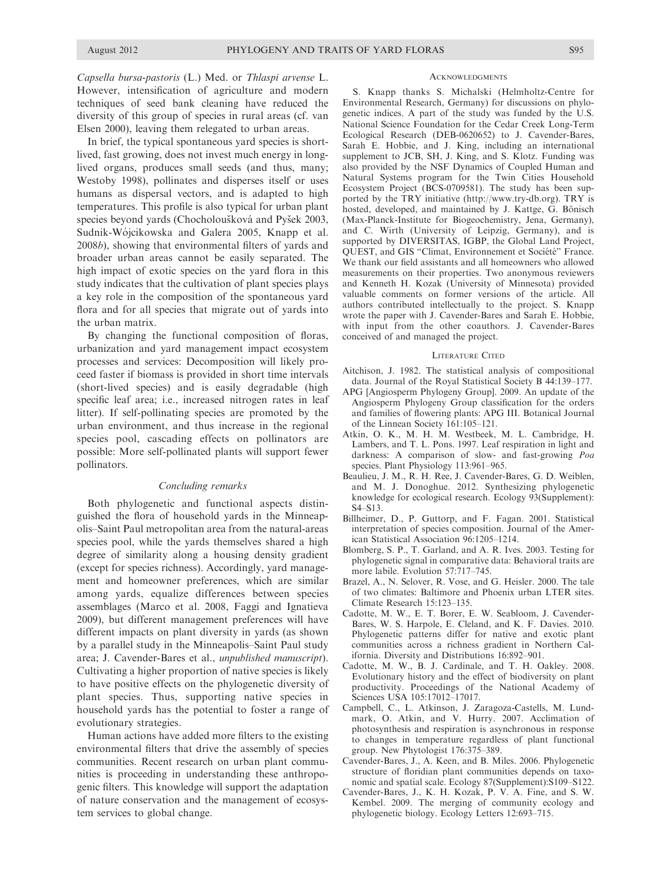Capsella bursa-pastoris (L.) Med. or Thlaspi arvense L. However, intensification of agriculture and modern techniques of seed bank cleaning have reduced the diversity of this group of species in rural areas (cf. van Elsen 2000), leaving them relegated to urban areas.

In brief, the typical spontaneous yard species is shortlived, fast growing, does not invest much energy in longlived organs, produces small seeds (and thus, many; Westoby 1998), pollinates and disperses itself or uses humans as dispersal vectors, and is adapted to high temperatures. This profile is also typical for urban plant species beyond yards (Chocholoušková and Pyšek 2003, Sudnik-Wójcikowska and Galera 2005, Knapp et al. 2008b), showing that environmental filters of yards and broader urban areas cannot be easily separated. The high impact of exotic species on the yard flora in this study indicates that the cultivation of plant species plays a key role in the composition of the spontaneous yard flora and for all species that migrate out of yards into the urban matrix.

By changing the functional composition of floras, urbanization and yard management impact ecosystem processes and services: Decomposition will likely proceed faster if biomass is provided in short time intervals (short-lived species) and is easily degradable (high specific leaf area; i.e., increased nitrogen rates in leaf litter). If self-pollinating species are promoted by the urban environment, and thus increase in the regional species pool, cascading effects on pollinators are possible: More self-pollinated plants will support fewer pollinators.

### Concluding remarks

Both phylogenetic and functional aspects distinguished the flora of household yards in the Minneapolis–Saint Paul metropolitan area from the natural-areas species pool, while the yards themselves shared a high degree of similarity along a housing density gradient (except for species richness). Accordingly, yard management and homeowner preferences, which are similar among yards, equalize differences between species assemblages (Marco et al. 2008, Faggi and Ignatieva 2009), but different management preferences will have different impacts on plant diversity in yards (as shown by a parallel study in the Minneapolis–Saint Paul study area; J. Cavender-Bares et al., unpublished manuscript). Cultivating a higher proportion of native species is likely to have positive effects on the phylogenetic diversity of plant species. Thus, supporting native species in household yards has the potential to foster a range of evolutionary strategies.

Human actions have added more filters to the existing environmental filters that drive the assembly of species communities. Recent research on urban plant communities is proceeding in understanding these anthropogenic filters. This knowledge will support the adaptation of nature conservation and the management of ecosystem services to global change.

#### **ACKNOWLEDGMENTS**

S. Knapp thanks S. Michalski (Helmholtz-Centre for Environmental Research, Germany) for discussions on phylogenetic indices. A part of the study was funded by the U.S. National Science Foundation for the Cedar Creek Long-Term Ecological Research (DEB-0620652) to J. Cavender-Bares, Sarah E. Hobbie, and J. King, including an international supplement to JCB, SH, J. King, and S. Klotz. Funding was also provided by the NSF Dynamics of Coupled Human and Natural Systems program for the Twin Cities Household Ecosystem Project (BCS-0709581). The study has been supported by the TRY initiative (http://www.try-db.org). TRY is hosted, developed, and maintained by J. Kattge, G. Bönisch (Max-Planck-Institute for Biogeochemistry, Jena, Germany), and C. Wirth (University of Leipzig, Germany), and is supported by DIVERSITAS, IGBP, the Global Land Project, QUEST, and GIS "Climat, Environnement et Société" France. We thank our field assistants and all homeowners who allowed measurements on their properties. Two anonymous reviewers and Kenneth H. Kozak (University of Minnesota) provided valuable comments on former versions of the article. All authors contributed intellectually to the project. S. Knapp wrote the paper with J. Cavender-Bares and Sarah E. Hobbie, with input from the other coauthors. J. Cavender-Bares conceived of and managed the project.

#### LITERATURE CITED

- Aitchison, J. 1982. The statistical analysis of compositional data. Journal of the Royal Statistical Society B 44:139–177.
- APG [Angiosperm Phylogeny Group]. 2009. An update of the Angiosperm Phylogeny Group classification for the orders and families of flowering plants: APG III. Botanical Journal of the Linnean Society 161:105–121.
- Atkin, O. K., M. H. M. Westbeek, M. L. Cambridge, H. Lambers, and T. L. Pons. 1997. Leaf respiration in light and darkness: A comparison of slow- and fast-growing Poa species. Plant Physiology 113:961–965.
- Beaulieu, J. M., R. H. Ree, J. Cavender-Bares, G. D. Weiblen, and M. J. Donoghue. 2012. Synthesizing phylogenetic knowledge for ecological research. Ecology 93(Supplement): S4–S13.
- Billheimer, D., P. Guttorp, and F. Fagan. 2001. Statistical interpretation of species composition. Journal of the American Statistical Association 96:1205–1214.
- Blomberg, S. P., T. Garland, and A. R. Ives. 2003. Testing for phylogenetic signal in comparative data: Behavioral traits are more labile. Evolution 57:717–745.
- Brazel, A., N. Selover, R. Vose, and G. Heisler. 2000. The tale of two climates: Baltimore and Phoenix urban LTER sites. Climate Research 15:123–135.
- Cadotte, M. W., E. T. Borer, E. W. Seabloom, J. Cavender-Bares, W. S. Harpole, E. Cleland, and K. F. Davies. 2010. Phylogenetic patterns differ for native and exotic plant communities across a richness gradient in Northern California. Diversity and Distributions 16:892–901.
- Cadotte, M. W., B. J. Cardinale, and T. H. Oakley. 2008. Evolutionary history and the effect of biodiversity on plant productivity. Proceedings of the National Academy of Sciences USA 105:17012–17017.
- Campbell, C., L. Atkinson, J. Zaragoza-Castells, M. Lundmark, O. Atkin, and V. Hurry. 2007. Acclimation of photosynthesis and respiration is asynchronous in response to changes in temperature regardless of plant functional group. New Phytologist 176:375–389.
- Cavender-Bares, J., A. Keen, and B. Miles. 2006. Phylogenetic structure of floridian plant communities depends on taxonomic and spatial scale. Ecology 87(Supplement):S109–S122.
- Cavender-Bares, J., K. H. Kozak, P. V. A. Fine, and S. W. Kembel. 2009. The merging of community ecology and phylogenetic biology. Ecology Letters 12:693–715.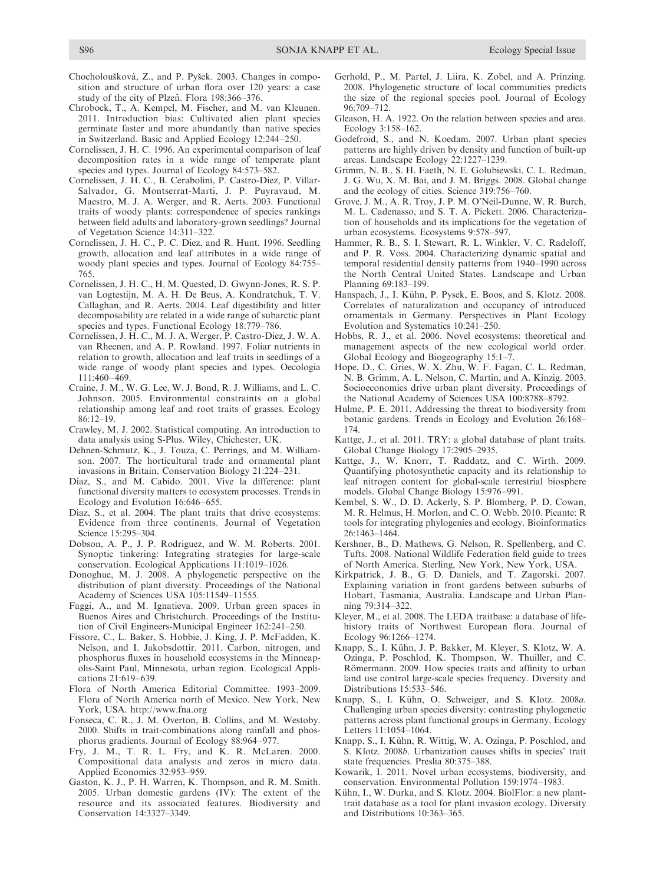- Chocholoušková, Z., and P. Pyšek. 2003. Changes in composition and structure of urban flora over 120 years: a case study of the city of Plzeň. Flora 198:366–376.
- Chrobock, T., A. Kempel, M. Fischer, and M. van Kleunen. 2011. Introduction bias: Cultivated alien plant species germinate faster and more abundantly than native species in Switzerland. Basic and Applied Ecology 12:244–250.
- Cornelissen, J. H. C. 1996. An experimental comparison of leaf decomposition rates in a wide range of temperate plant species and types. Journal of Ecology 84:573–582.
- Cornelissen, J. H. C., B. Cerabolini, P. Castro-Diez, P. Villar-Salvador, G. Montserrat-Marti, J. P. Puyravaud, M. Maestro, M. J. A. Werger, and R. Aerts. 2003. Functional traits of woody plants: correspondence of species rankings between field adults and laboratory-grown seedlings? Journal of Vegetation Science 14:311–322.
- Cornelissen, J. H. C., P. C. Diez, and R. Hunt. 1996. Seedling growth, allocation and leaf attributes in a wide range of woody plant species and types. Journal of Ecology 84:755– 765.
- Cornelissen, J. H. C., H. M. Quested, D. Gwynn-Jones, R. S. P. van Logtestijn, M. A. H. De Beus, A. Kondratchuk, T. V. Callaghan, and R. Aerts. 2004. Leaf digestibility and litter decomposability are related in a wide range of subarctic plant species and types. Functional Ecology 18:779–786.
- Cornelissen, J. H. C., M. J. A. Werger, P. Castro-Diez, J. W. A. van Rheenen, and A. P. Rowland. 1997. Foliar nutrients in relation to growth, allocation and leaf traits in seedlings of a wide range of woody plant species and types. Oecologia 111:460–469.
- Craine, J. M., W. G. Lee, W. J. Bond, R. J. Williams, and L. C. Johnson. 2005. Environmental constraints on a global relationship among leaf and root traits of grasses. Ecology 86:12–19.
- Crawley, M. J. 2002. Statistical computing. An introduction to data analysis using S-Plus. Wiley, Chichester, UK.
- Dehnen-Schmutz, K., J. Touza, C. Perrings, and M. Williamson. 2007. The horticultural trade and ornamental plant invasions in Britain. Conservation Biology 21:224–231.
- Díaz, S., and M. Cabido. 2001. Vive la difference: plant functional diversity matters to ecosystem processes. Trends in Ecology and Evolution 16:646–655.
- Díaz, S., et al. 2004. The plant traits that drive ecosystems: Evidence from three continents. Journal of Vegetation Science 15:295–304.
- Dobson, A. P., J. P. Rodriguez, and W. M. Roberts. 2001. Synoptic tinkering: Integrating strategies for large-scale conservation. Ecological Applications 11:1019–1026.
- Donoghue, M. J. 2008. A phylogenetic perspective on the distribution of plant diversity. Proceedings of the National Academy of Sciences USA 105:11549–11555.
- Faggi, A., and M. Ignatieva. 2009. Urban green spaces in Buenos Aires and Christchurch. Proceedings of the Institution of Civil Engineers-Municipal Engineer 162:241–250.
- Fissore, C., L. Baker, S. Hobbie, J. King, J. P. McFadden, K. Nelson, and I. Jakobsdottir. 2011. Carbon, nitrogen, and phosphorus fluxes in household ecosystems in the Minneapolis-Saint Paul, Minnesota, urban region. Ecological Applications 21:619–639.
- Flora of North America Editorial Committee. 1993–2009. Flora of North America north of Mexico. New York, New York, USA. http://www.fna.org
- Fonseca, C. R., J. M. Overton, B. Collins, and M. Westoby. 2000. Shifts in trait-combinations along rainfall and phosphorus gradients. Journal of Ecology 88:964–977.
- Fry, J. M., T. R. L. Fry, and K. R. McLaren. 2000. Compositional data analysis and zeros in micro data. Applied Economics 32:953–959.
- Gaston, K. J., P. H. Warren, K. Thompson, and R. M. Smith. 2005. Urban domestic gardens  $(I\hat{V})$ : The extent of the resource and its associated features. Biodiversity and Conservation 14:3327–3349.
- Gerhold, P., M. Partel, J. Liira, K. Zobel, and A. Prinzing. 2008. Phylogenetic structure of local communities predicts the size of the regional species pool. Journal of Ecology 96:709–712.
- Gleason, H. A. 1922. On the relation between species and area. Ecology 3:158–162.
- Godefroid, S., and N. Koedam. 2007. Urban plant species patterns are highly driven by density and function of built-up areas. Landscape Ecology 22:1227–1239.
- Grimm, N. B., S. H. Faeth, N. E. Golubiewski, C. L. Redman, J. G. Wu, X. M. Bai, and J. M. Briggs. 2008. Global change and the ecology of cities. Science 319:756–760.
- Grove, J. M., A. R. Troy, J. P. M. O'Neil-Dunne, W. R. Burch, M. L. Cadenasso, and S. T. A. Pickett. 2006. Characterization of households and its implications for the vegetation of urban ecosystems. Ecosystems 9:578–597.
- Hammer, R. B., S. I. Stewart, R. L. Winkler, V. C. Radeloff, and P. R. Voss. 2004. Characterizing dynamic spatial and temporal residential density patterns from 1940–1990 across the North Central United States. Landscape and Urban Planning 69:183–199.
- Hanspach, J., I. Kühn, P. Pysek, E. Boos, and S. Klotz. 2008. Correlates of naturalization and occupancy of introduced ornamentals in Germany. Perspectives in Plant Ecology Evolution and Systematics 10:241–250.
- Hobbs, R. J., et al. 2006. Novel ecosystems: theoretical and management aspects of the new ecological world order. Global Ecology and Biogeography 15:1–7.
- Hope, D., C. Gries, W. X. Zhu, W. F. Fagan, C. L. Redman, N. B. Grimm, A. L. Nelson, C. Martin, and A. Kinzig. 2003. Socioeconomics drive urban plant diversity. Proceedings of the National Academy of Sciences USA 100:8788–8792.
- Hulme, P. E. 2011. Addressing the threat to biodiversity from botanic gardens. Trends in Ecology and Evolution 26:168– 174.
- Kattge, J., et al. 2011. TRY: a global database of plant traits. Global Change Biology 17:2905–2935.
- Kattge, J., W. Knorr, T. Raddatz, and C. Wirth. 2009. Quantifying photosynthetic capacity and its relationship to leaf nitrogen content for global-scale terrestrial biosphere models. Global Change Biology 15:976–991.
- Kembel, S. W., D. D. Ackerly, S. P. Blomberg, P. D. Cowan, M. R. Helmus, H. Morlon, and C. O. Webb. 2010. Picante: R tools for integrating phylogenies and ecology. Bioinformatics 26:1463–1464.
- Kershner, B., D. Mathews, G. Nelson, R. Spellenberg, and C. Tufts. 2008. National Wildlife Federation field guide to trees of North America. Sterling, New York, New York, USA.
- Kirkpatrick, J. B., G. D. Daniels, and T. Zagorski. 2007. Explaining variation in front gardens between suburbs of Hobart, Tasmania, Australia. Landscape and Urban Planning 79:314–322.
- Kleyer, M., et al. 2008. The LEDA traitbase: a database of lifehistory traits of Northwest European flora. Journal of Ecology 96:1266–1274.
- Knapp, S., I. Kühn, J. P. Bakker, M. Kleyer, S. Klotz, W. A. Ozinga, P. Poschlod, K. Thompson, W. Thuiller, and C. Römermann. 2009. How species traits and affinity to urban land use control large-scale species frequency. Diversity and Distributions 15:533–546.
- Knapp, S., I. Kühn, O. Schweiger, and S. Klotz. 2008a. Challenging urban species diversity: contrasting phylogenetic patterns across plant functional groups in Germany. Ecology Letters 11:1054–1064.
- Knapp, S., I. Kühn, R. Wittig, W. A. Ozinga, P. Poschlod, and S. Klotz. 2008b. Urbanization causes shifts in species' trait state frequencies. Preslia 80:375–388.
- Kowarik, I. 2011. Novel urban ecosystems, biodiversity, and conservation. Environmental Pollution 159:1974–1983.
- Kühn, I., W. Durka, and S. Klotz. 2004. BiolFlor: a new planttrait database as a tool for plant invasion ecology. Diversity and Distributions 10:363–365.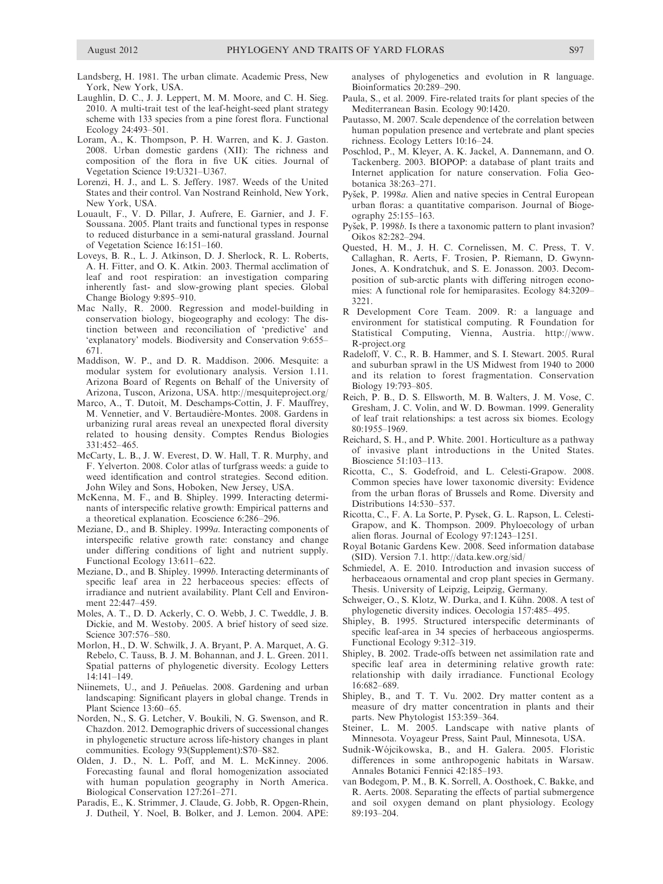- Landsberg, H. 1981. The urban climate. Academic Press, New York, New York, USA.
- Laughlin, D. C., J. J. Leppert, M. M. Moore, and C. H. Sieg. 2010. A multi-trait test of the leaf-height-seed plant strategy scheme with 133 species from a pine forest flora. Functional Ecology 24:493–501.
- Loram, A., K. Thompson, P. H. Warren, and K. J. Gaston. 2008. Urban domestic gardens (XII): The richness and composition of the flora in five UK cities. Journal of Vegetation Science 19:U321–U367.
- Lorenzi, H. J., and L. S. Jeffery. 1987. Weeds of the United States and their control. Van Nostrand Reinhold, New York, New York, USA.
- Louault, F., V. D. Pillar, J. Aufrere, E. Garnier, and J. F. Soussana. 2005. Plant traits and functional types in response to reduced disturbance in a semi-natural grassland. Journal of Vegetation Science 16:151–160.
- Loveys, B. R., L. J. Atkinson, D. J. Sherlock, R. L. Roberts, A. H. Fitter, and O. K. Atkin. 2003. Thermal acclimation of leaf and root respiration: an investigation comparing inherently fast- and slow-growing plant species. Global Change Biology 9:895–910.
- Mac Nally, R. 2000. Regression and model-building in conservation biology, biogeography and ecology: The distinction between and reconciliation of 'predictive' and 'explanatory' models. Biodiversity and Conservation 9:655– 671.
- Maddison, W. P., and D. R. Maddison. 2006. Mesquite: a modular system for evolutionary analysis. Version 1.11. Arizona Board of Regents on Behalf of the University of Arizona, Tuscon, Arizona, USA. http://mesquiteproject.org/
- Marco, A., T. Dutoit, M. Deschamps-Cottin, J. F. Mauffrey, M. Vennetier, and V. Bertaudière-Montes. 2008. Gardens in urbanizing rural areas reveal an unexpected floral diversity related to housing density. Comptes Rendus Biologies 331:452–465.
- McCarty, L. B., J. W. Everest, D. W. Hall, T. R. Murphy, and F. Yelverton. 2008. Color atlas of turfgrass weeds: a guide to weed identification and control strategies. Second edition. John Wiley and Sons, Hoboken, New Jersey, USA.
- McKenna, M. F., and B. Shipley. 1999. Interacting determinants of interspecific relative growth: Empirical patterns and a theoretical explanation. Ecoscience 6:286–296.
- Meziane, D., and B. Shipley. 1999a. Interacting components of interspecific relative growth rate: constancy and change under differing conditions of light and nutrient supply. Functional Ecology 13:611–622.
- Meziane, D., and B. Shipley. 1999b. Interacting determinants of specific leaf area in 22 herbaceous species: effects of irradiance and nutrient availability. Plant Cell and Environment 22:447–459.
- Moles, A. T., D. D. Ackerly, C. O. Webb, J. C. Tweddle, J. B. Dickie, and M. Westoby. 2005. A brief history of seed size. Science 307:576–580.
- Morlon, H., D. W. Schwilk, J. A. Bryant, P. A. Marquet, A. G. Rebelo, C. Tauss, B. J. M. Bohannan, and J. L. Green. 2011. Spatial patterns of phylogenetic diversity. Ecology Letters 14:141–149.
- Niinemets, U., and J. Peñuelas. 2008. Gardening and urban landscaping: Significant players in global change. Trends in Plant Science 13:60–65.
- Norden, N., S. G. Letcher, V. Boukili, N. G. Swenson, and R. Chazdon. 2012. Demographic drivers of successional changes in phylogenetic structure across life-history changes in plant communities. Ecology 93(Supplement):S70–S82.
- Olden, J. D., N. L. Poff, and M. L. McKinney. 2006. Forecasting faunal and floral homogenization associated with human population geography in North America. Biological Conservation 127:261–271.
- Paradis, E., K. Strimmer, J. Claude, G. Jobb, R. Opgen-Rhein, J. Dutheil, Y. Noel, B. Bolker, and J. Lemon. 2004. APE:

analyses of phylogenetics and evolution in R language. Bioinformatics 20:289–290.

- Paula, S., et al. 2009. Fire-related traits for plant species of the Mediterranean Basin. Ecology 90:1420.
- Pautasso, M. 2007. Scale dependence of the correlation between human population presence and vertebrate and plant species richness. Ecology Letters 10:16–24.
- Poschlod, P., M. Kleyer, A. K. Jackel, A. Dannemann, and O. Tackenberg. 2003. BIOPOP: a database of plant traits and Internet application for nature conservation. Folia Geobotanica 38:263–271.
- Pyšek, P. 1998a. Alien and native species in Central European urban floras: a quantitative comparison. Journal of Biogeography 25:155–163.
- Pyšek, P. 1998b. Is there a taxonomic pattern to plant invasion? Oikos 82:282–294.
- Quested, H. M., J. H. C. Cornelissen, M. C. Press, T. V. Callaghan, R. Aerts, F. Trosien, P. Riemann, D. Gwynn-Jones, A. Kondratchuk, and S. E. Jonasson. 2003. Decomposition of sub-arctic plants with differing nitrogen economies: A functional role for hemiparasites. Ecology 84:3209– 3221.
- R Development Core Team. 2009. R: a language and environment for statistical computing. R Foundation for Statistical Computing, Vienna, Austria. http://www. R-project.org
- Radeloff, V. C., R. B. Hammer, and S. I. Stewart. 2005. Rural and suburban sprawl in the US Midwest from 1940 to 2000 and its relation to forest fragmentation. Conservation Biology 19:793–805.
- Reich, P. B., D. S. Ellsworth, M. B. Walters, J. M. Vose, C. Gresham, J. C. Volin, and W. D. Bowman. 1999. Generality of leaf trait relationships: a test across six biomes. Ecology 80:1955–1969.
- Reichard, S. H., and P. White. 2001. Horticulture as a pathway of invasive plant introductions in the United States. Bioscience 51:103–113.
- Ricotta, C., S. Godefroid, and L. Celesti-Grapow. 2008. Common species have lower taxonomic diversity: Evidence from the urban floras of Brussels and Rome. Diversity and Distributions 14:530–537.
- Ricotta, C., F. A. La Sorte, P. Pysek, G. L. Rapson, L. Celesti-Grapow, and K. Thompson. 2009. Phyloecology of urban alien floras. Journal of Ecology 97:1243–1251.
- Royal Botanic Gardens Kew. 2008. Seed information database (SID). Version 7.1. http://data.kew.org/sid/
- Schmiedel, A. E. 2010. Introduction and invasion success of herbaceaous ornamental and crop plant species in Germany. Thesis. University of Leipzig, Leipzig, Germany.
- Schweiger, O., S. Klotz, W. Durka, and I. Kühn. 2008. A test of phylogenetic diversity indices. Oecologia 157:485–495.
- Shipley, B. 1995. Structured interspecific determinants of specific leaf-area in 34 species of herbaceous angiosperms. Functional Ecology 9:312–319.
- Shipley, B. 2002. Trade-offs between net assimilation rate and specific leaf area in determining relative growth rate: relationship with daily irradiance. Functional Ecology 16:682–689.
- Shipley, B., and T. T. Vu. 2002. Dry matter content as a measure of dry matter concentration in plants and their parts. New Phytologist 153:359–364.
- Steiner, L. M. 2005. Landscape with native plants of Minnesota. Voyageur Press, Saint Paul, Minnesota, USA.
- Sudnik-Wójcikowska, B., and H. Galera. 2005. Floristic differences in some anthropogenic habitats in Warsaw. Annales Botanici Fennici 42:185–193.
- van Bodegom, P. M., B. K. Sorrell, A. Oosthoek, C. Bakke, and R. Aerts. 2008. Separating the effects of partial submergence and soil oxygen demand on plant physiology. Ecology 89:193–204.